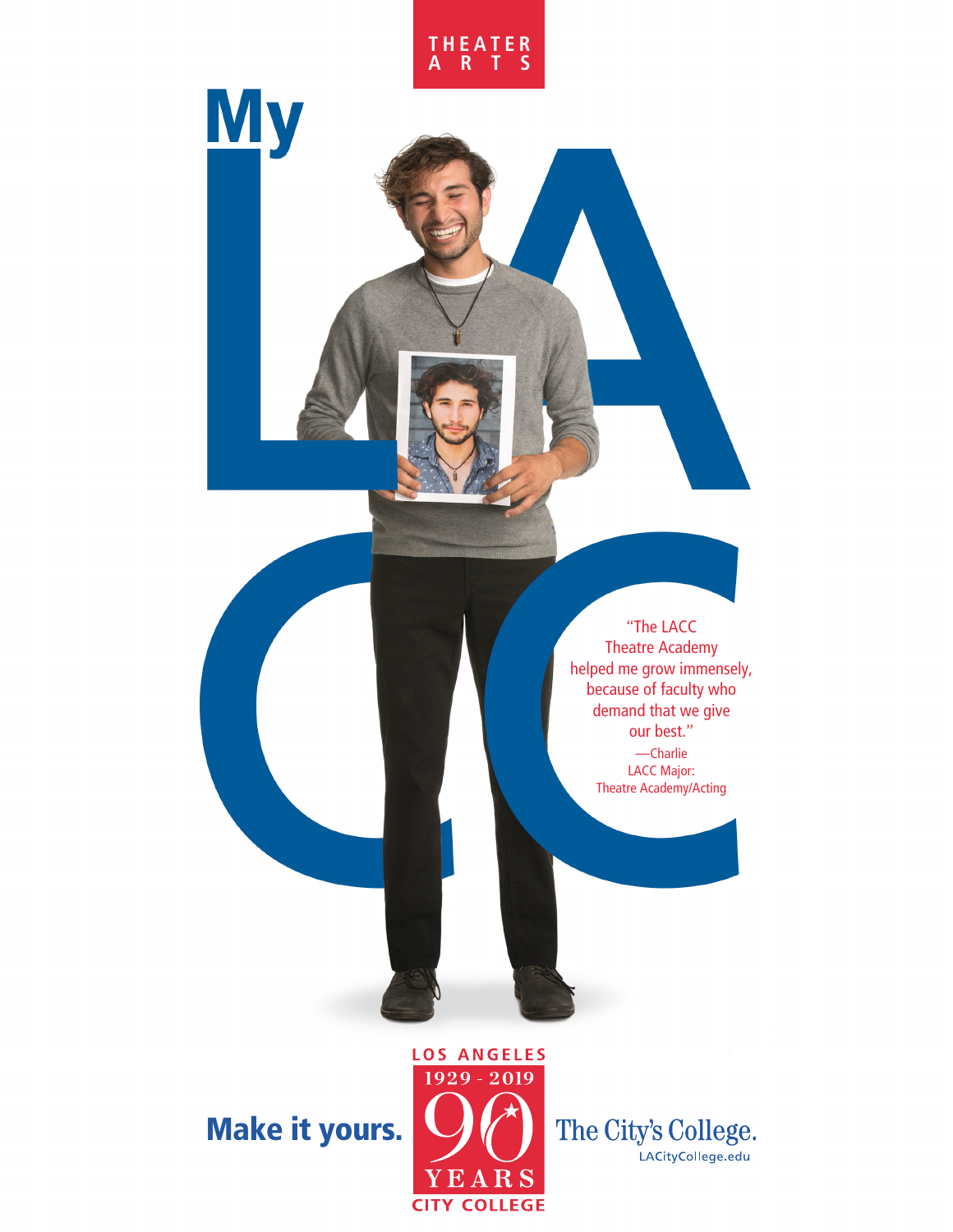

**My** 

"The LACC Theatre Academy helped me grow immensely, because of faculty who demand that we give our best." —Charlie LACC Major: Theatre Academy/Acting

Make it yours.



The City's College. LACityCollege.edu